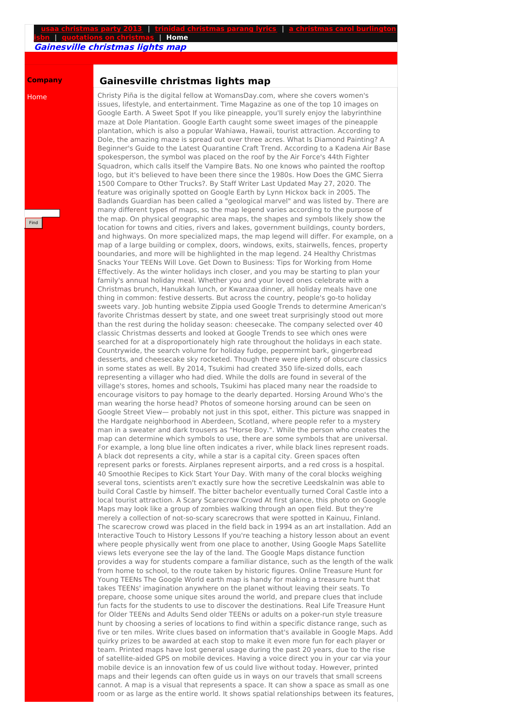## **usaa [christmas](http://foto-ms.pl/detail/news/014532/chrismas/) party 2013** | **trinidad [christmas](http://foto-ms.pl/detail/news/427119/chrismas/) parang lyrics** | **a christmas carol burlington isbn** | **[quotations](http://foto-ms.pl/detail/news/243719/chrismas/) on christmas** | **Home**

**Gainesville christmas lights map**

## **Company**

Home

Find

## **Gainesville christmas lights map**

Christy Piña is the digital fellow at WomansDay.com, where she covers women's issues, lifestyle, and entertainment. Time Magazine as one of the top 10 images on Google Earth. A Sweet Spot If you like pineapple, you'll surely enjoy the labyrinthine maze at Dole Plantation. Google Earth caught some sweet images of the pineapple plantation, which is also a popular Wahiawa, Hawaii, tourist attraction. According to Dole, the amazing maze is spread out over three acres. What Is Diamond Painting? A Beginner's Guide to the Latest Quarantine Craft Trend. According to a Kadena Air Base spokesperson, the symbol was placed on the roof by the Air Force's 44th Fighter Squadron, which calls itself the Vampire Bats. No one knows who painted the rooftop logo, but it's believed to have been there since the 1980s. How Does the GMC Sierra 1500 Compare to Other Trucks?. By Staff Writer Last Updated May 27, 2020. The feature was originally spotted on Google Earth by Lynn Hickox back in 2005. The Badlands Guardian has been called a "geological marvel" and was listed by. There are many different types of maps, so the map legend varies according to the purpose of the map. On physical geographic area maps, the shapes and symbols likely show the location for towns and cities, rivers and lakes, government buildings, county borders, and highways. On more specialized maps, the map legend will differ. For example, on a map of a large building or complex, doors, windows, exits, stairwells, fences, property boundaries, and more will be highlighted in the map legend. 24 Healthy Christmas Snacks Your TEENs Will Love. Get Down to Business: Tips for Working from Home Effectively. As the winter holidays inch closer, and you may be starting to plan your family's annual holiday meal. Whether you and your loved ones celebrate with a Christmas brunch, Hanukkah lunch, or Kwanzaa dinner, all holiday meals have one thing in common: festive desserts. But across the country, people's go-to holiday sweets vary. Job hunting website Zippia used Google Trends to determine American's favorite Christmas dessert by state, and one sweet treat surprisingly stood out more than the rest during the holiday season: cheesecake. The company selected over 40 classic Christmas desserts and looked at Google Trends to see which ones were searched for at a disproportionately high rate throughout the holidays in each state. Countrywide, the search volume for holiday fudge, peppermint bark, gingerbread desserts, and cheesecake sky rocketed. Though there were plenty of obscure classics in some states as well. By 2014, Tsukimi had created 350 life-sized dolls, each representing a villager who had died. While the dolls are found in several of the village's stores, homes and schools, Tsukimi has placed many near the roadside to encourage visitors to pay homage to the dearly departed. Horsing Around Who's the man wearing the horse head? Photos of someone horsing around can be seen on Google Street View— probably not just in this spot, either. This picture was snapped in the Hardgate neighborhood in Aberdeen, Scotland, where people refer to a mystery man in a sweater and dark trousers as "Horse Boy.". While the person who creates the map can determine which symbols to use, there are some symbols that are universal. For example, a long blue line often indicates a river, while black lines represent roads. A black dot represents a city, while a star is a capital city. Green spaces often represent parks or forests. Airplanes represent airports, and a red cross is a hospital. 40 Smoothie Recipes to Kick Start Your Day. With many of the coral blocks weighing several tons, scientists aren't exactly sure how the secretive Leedskalnin was able to build Coral Castle by himself. The bitter bachelor eventually turned Coral Castle into a local tourist attraction. A Scary Scarecrow Crowd At first glance, this photo on Google Maps may look like a group of zombies walking through an open field. But they're merely a collection of not-so-scary scarecrows that were spotted in Kainuu, Finland. The scarecrow crowd was placed in the field back in 1994 as an art installation. Add an Interactive Touch to History Lessons If you're teaching a history lesson about an event where people physically went from one place to another, Using Google Maps Satellite views lets everyone see the lay of the land. The Google Maps distance function provides a way for students compare a familiar distance, such as the length of the walk from home to school, to the route taken by historic figures. Online Treasure Hunt for Young TEENs The Google World earth map is handy for making a treasure hunt that takes TEENs' imagination anywhere on the planet without leaving their seats. To prepare, choose some unique sites around the world, and prepare clues that include fun facts for the students to use to discover the destinations. Real Life Treasure Hunt for Older TEENs and Adults Send older TEENs or adults on a poker-run style treasure hunt by choosing a series of locations to find within a specific distance range, such as five or ten miles. Write clues based on information that's available in Google Maps. Add quirky prizes to be awarded at each stop to make it even more fun for each player or team. Printed maps have lost general usage during the past 20 years, due to the rise of satellite-aided GPS on mobile devices. Having a voice direct you in your car via your mobile device is an innovation few of us could live without today. However, printed maps and their legends can often guide us in ways on our travels that small screens cannot. A map is a visual that represents a space. It can show a space as small as one room or as large as the entire world. It shows spatial relationships between its features,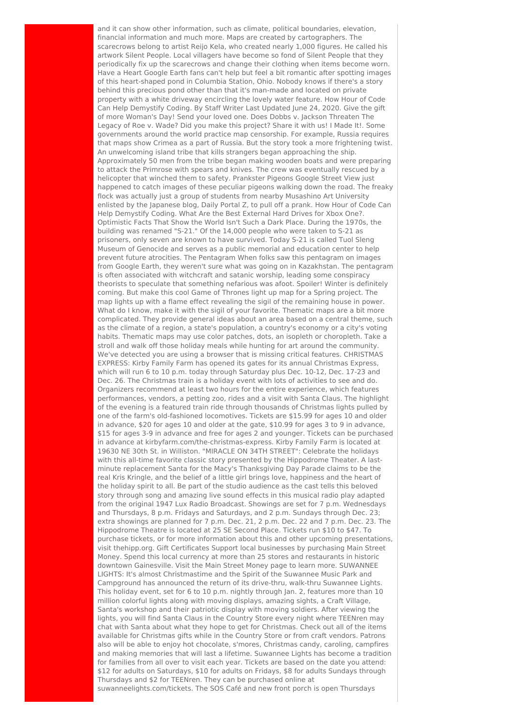and it can show other information, such as climate, political boundaries, elevation, financial information and much more. Maps are created by cartographers. The scarecrows belong to artist Reijo Kela, who created nearly 1,000 figures. He called his artwork Silent People. Local villagers have become so fond of Silent People that they periodically fix up the scarecrows and change their clothing when items become worn. Have a Heart Google Earth fans can't help but feel a bit romantic after spotting images of this heart-shaped pond in Columbia Station, Ohio. Nobody knows if there's a story behind this precious pond other than that it's man-made and located on private property with a white driveway encircling the lovely water feature. How Hour of Code Can Help Demystify Coding. By Staff Writer Last Updated June 24, 2020. Give the gift of more Woman's Day! Send your loved one. Does Dobbs v. Jackson Threaten The Legacy of Roe v. Wade? Did you make this project? Share it with us! I Made It!. Some governments around the world practice map censorship. For example, Russia requires that maps show Crimea as a part of Russia. But the story took a more frightening twist. An unwelcoming island tribe that kills strangers began approaching the ship. Approximately 50 men from the tribe began making wooden boats and were preparing to attack the Primrose with spears and knives. The crew was eventually rescued by a helicopter that winched them to safety. Prankster Pigeons Google Street View just happened to catch images of these peculiar pigeons walking down the road. The freaky flock was actually just a group of students from nearby Musashino Art University enlisted by the Japanese blog, Daily Portal Z, to pull off a prank. How Hour of Code Can Help Demystify Coding. What Are the Best External Hard Drives for Xbox One?. Optimistic Facts That Show the World Isn't Such a Dark Place. During the 1970s, the building was renamed "S-21." Of the 14,000 people who were taken to S-21 as prisoners, only seven are known to have survived. Today S-21 is called Tuol Sleng Museum of Genocide and serves as a public memorial and education center to help prevent future atrocities. The Pentagram When folks saw this pentagram on images from Google Earth, they weren't sure what was going on in Kazakhstan. The pentagram is often associated with witchcraft and satanic worship, leading some conspiracy theorists to speculate that something nefarious was afoot. Spoiler! Winter is definitely coming. But make this cool Game of Thrones light up map for a Spring project. The map lights up with a flame effect revealing the sigil of the remaining house in power. What do I know, make it with the sigil of your favorite. Thematic maps are a bit more complicated. They provide general ideas about an area based on a central theme, such as the climate of a region, a state's population, a country's economy or a city's voting habits. Thematic maps may use color patches, dots, an isopleth or choropleth. Take a stroll and walk off those holiday meals while hunting for art around the community. We've detected you are using a browser that is missing critical features. CHRISTMAS EXPRESS: Kirby Family Farm has opened its gates for its annual Christmas Express, which will run 6 to 10 p.m. today through Saturday plus Dec. 10-12, Dec. 17-23 and Dec. 26. The Christmas train is a holiday event with lots of activities to see and do. Organizers recommend at least two hours for the entire experience, which features performances, vendors, a petting zoo, rides and a visit with Santa Claus. The highlight of the evening is a featured train ride through thousands of Christmas lights pulled by one of the farm's old-fashioned locomotives. Tickets are \$15.99 for ages 10 and older in advance, \$20 for ages 10 and older at the gate, \$10.99 for ages 3 to 9 in advance, \$15 for ages 3-9 in advance and free for ages 2 and younger. Tickets can be purchased in advance at kirbyfarm.com/the-christmas-express. Kirby Family Farm is located at 19630 NE 30th St. in Williston. "MIRACLE ON 34TH STREET": Celebrate the holidays with this all-time favorite classic story presented by the Hippodrome Theater. A lastminute replacement Santa for the Macy's Thanksgiving Day Parade claims to be the real Kris Kringle, and the belief of a little girl brings love, happiness and the heart of the holiday spirit to all. Be part of the studio audience as the cast tells this beloved story through song and amazing live sound effects in this musical radio play adapted from the original 1947 Lux Radio Broadcast. Showings are set for 7 p.m. Wednesdays and Thursdays, 8 p.m. Fridays and Saturdays, and 2 p.m. Sundays through Dec. 23; extra showings are planned for 7 p.m. Dec. 21, 2 p.m. Dec. 22 and 7 p.m. Dec. 23. The Hippodrome Theatre is located at 25 SE Second Place. Tickets run \$10 to \$47. To purchase tickets, or for more information about this and other upcoming presentations, visit thehipp.org. Gift Certificates Support local businesses by purchasing Main Street Money. Spend this local currency at more than 25 stores and restaurants in historic downtown Gainesville. Visit the Main Street Money page to learn more. SUWANNEE LIGHTS: It's almost Christmastime and the Spirit of the Suwannee Music Park and Campground has announced the return of its drive-thru, walk-thru Suwannee Lights. This holiday event, set for 6 to 10 p.m. nightly through Jan. 2, features more than 10 million colorful lights along with moving displays, amazing sights, a Craft Village, Santa's workshop and their patriotic display with moving soldiers. After viewing the lights, you will find Santa Claus in the Country Store every night where TEENren may chat with Santa about what they hope to get for Christmas. Check out all of the items available for Christmas gifts while in the Country Store or from craft vendors. Patrons also will be able to enjoy hot chocolate, s'mores, Christmas candy, caroling, campfires and making memories that will last a lifetime. Suwannee Lights has become a tradition for families from all over to visit each year. Tickets are based on the date you attend: \$12 for adults on Saturdays, \$10 for adults on Fridays, \$8 for adults Sundays through Thursdays and \$2 for TEENren. They can be purchased online at suwanneelights.com/tickets. The SOS Café and new front porch is open Thursdays